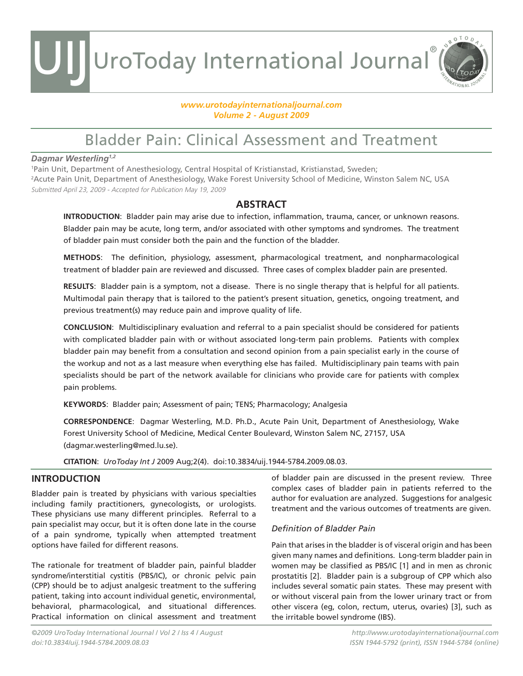#### *www.urotodayinternationaljournal.com Volume 2 - August 2009*

### Bladder Pain: Clinical Assessment and Treatment

#### *Dagmar Westerling1,2*

1 Pain Unit, Department of Anesthesiology, Central Hospital of Kristianstad, Kristianstad, Sweden; 2 Acute Pain Unit, Department of Anesthesiology, Wake Forest University School of Medicine, Winston Salem NC, USA Submitted April 23, 2009 - Accepted for Publication May 19, 2009

### **ABSTRACT**

**INTRODUCTION**: Bladder pain may arise due to infection, inflammation, trauma, cancer, or unknown reasons. Bladder pain may be acute, long term, and/or associated with other symptoms and syndromes. The treatment of bladder pain must consider both the pain and the function of the bladder.

**METHODS**: The definition, physiology, assessment, pharmacological treatment, and nonpharmacological treatment of bladder pain are reviewed and discussed. Three cases of complex bladder pain are presented.

**RESULTS**: Bladder pain is a symptom, not a disease. There is no single therapy that is helpful for all patients. Multimodal pain therapy that is tailored to the patient's present situation, genetics, ongoing treatment, and previous treatment(s) may reduce pain and improve quality of life.

**CONCLUSION**: Multidisciplinary evaluation and referral to a pain specialist should be considered for patients with complicated bladder pain with or without associated long-term pain problems. Patients with complex bladder pain may benefit from a consultation and second opinion from a pain specialist early in the course of the workup and not as a last measure when everything else has failed. Multidisciplinary pain teams with pain specialists should be part of the network available for clinicians who provide care for patients with complex pain problems.

**KEYWORDS**: Bladder pain; Assessment of pain; TENS; Pharmacology; Analgesia

**CORRESPONDENCE**: Dagmar Westerling, M.D. Ph.D., Acute Pain Unit, Department of Anesthesiology, Wake Forest University School of Medicine, Medical Center Boulevard, Winston Salem NC, 27157, USA (dagmar.westerling@med.lu.se).

**CITATION**: *UroToday Int J* 2009 Aug;2(4). doi:10.3834/uij.1944-5784.2009.08.03.

### **INTRODUCTION**

Bladder pain is treated by physicians with various specialties including family practitioners, gynecologists, or urologists. These physicians use many different principles. Referral to a pain specialist may occur, but it is often done late in the course of a pain syndrome, typically when attempted treatment options have failed for different reasons.

The rationale for treatment of bladder pain, painful bladder syndrome/interstitial cystitis (PBS/IC), or chronic pelvic pain (CPP) should be to adjust analgesic treatment to the suffering patient, taking into account individual genetic, environmental, behavioral, pharmacological, and situational differences. Practical information on clinical assessment and treatment of bladder pain are discussed in the present review. Three complex cases of bladder pain in patients referred to the author for evaluation are analyzed. Suggestions for analgesic treatment and the various outcomes of treatments are given.

### *Definition of Bladder Pain*

Pain that arises in the bladder is of visceral origin and has been given many names and definitions. Long-term bladder pain in women may be classified as PBS/IC [1] and in men as chronic prostatitis [2]. Bladder pain is a subgroup of CPP which also includes several somatic pain states. These may present with or without visceral pain from the lower urinary tract or from other viscera (eg, colon, rectum, uterus, ovaries) [3], such as the irritable bowel syndrome (IBS).

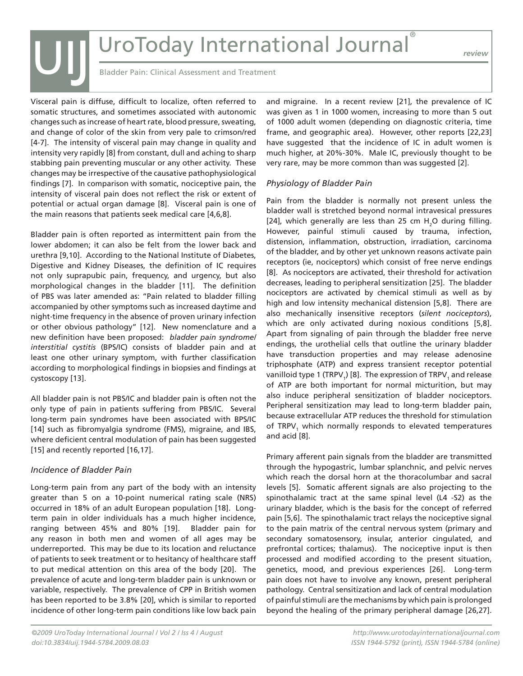*review*

Bladder Pain: Clinical Assessment and Treatment

Visceral pain is diffuse, difficult to localize, often referred to somatic structures, and sometimes associated with autonomic changes such as increase of heart rate, blood pressure, sweating, and change of color of the skin from very pale to crimson/red [4-7]. The intensity of visceral pain may change in quality and intensity very rapidly [8] from constant, dull and aching to sharp stabbing pain preventing muscular or any other activity. These changes may be irrespective of the causative pathophysiological findings [7]. In comparison with somatic, nociceptive pain, the intensity of visceral pain does not reflect the risk or extent of potential or actual organ damage [8]. Visceral pain is one of the main reasons that patients seek medical care [4,6,8]. UIJ

Bladder pain is often reported as intermittent pain from the lower abdomen; it can also be felt from the lower back and urethra [9,10]. According to the National Institute of Diabetes, Digestive and Kidney Diseases, the definition of IC requires not only suprapubic pain, frequency, and urgency, but also morphological changes in the bladder [11]. The definition of PBS was later amended as: "Pain related to bladder filling accompanied by other symptoms such as increased daytime and night-time frequency in the absence of proven urinary infection or other obvious pathology" [12]. New nomenclature and a new definition have been proposed: *bladder pain syndrome/ interstitial cystitis* (BPS/IC) consists of bladder pain and at least one other urinary symptom, with further classification according to morphological findings in biopsies and findings at cystoscopy [13].

All bladder pain is not PBS/IC and bladder pain is often not the only type of pain in patients suffering from PBS/IC. Several long-term pain syndromes have been associated with BPS/IC [14] such as fibromyalgia syndrome (FMS), migraine, and IBS, where deficient central modulation of pain has been suggested [15] and recently reported [16,17].

### *Incidence of Bladder Pain*

Long-term pain from any part of the body with an intensity greater than 5 on a 10-point numerical rating scale (NRS) occurred in 18% of an adult European population [18]. Longterm pain in older individuals has a much higher incidence, ranging between 45% and 80% [19]. Bladder pain for any reason in both men and women of all ages may be underreported. This may be due to its location and reluctance of patients to seek treatment or to hesitancy of healthcare staff to put medical attention on this area of the body [20]. The prevalence of acute and long-term bladder pain is unknown or variable, respectively. The prevalence of CPP in British women has been reported to be 3.8% [20], which is similar to reported incidence of other long-term pain conditions like low back pain

and migraine. In a recent review [21], the prevalence of IC was given as 1 in 1000 women, increasing to more than 5 out of 1000 adult women (depending on diagnostic criteria, time frame, and geographic area). However, other reports [22,23] have suggested that the incidence of IC in adult women is much higher, at 20%-30%. Male IC, previously thought to be very rare, may be more common than was suggested [2].

### *Physiology of Bladder Pain*

Pain from the bladder is normally not present unless the bladder wall is stretched beyond normal intravesical pressures [24], which generally are less than 25 cm  $H_2O$  during filling. However, painful stimuli caused by trauma, infection, distension, inflammation, obstruction, irradiation, carcinoma of the bladder, and by other yet unknown reasons activate pain receptors (ie, nociceptors) which consist of free nerve endings [8]. As nociceptors are activated, their threshold for activation decreases, leading to peripheral sensitization [25]. The bladder nociceptors are activated by chemical stimuli as well as by high and low intensity mechanical distension [5,8]. There are also mechanically insensitive receptors (*silent nociceptors*), which are only activated during noxious conditions [5,8]. Apart from signaling of pain through the bladder free nerve endings, the urothelial cells that outline the urinary bladder have transduction properties and may release adenosine triphosphate (ATP) and express transient receptor potential vanilloid type 1 (TRPV<sub>1</sub>) [8]. The expression of TRPV<sub>1</sub> and release of ATP are both important for normal micturition, but may also induce peripheral sensitization of bladder nociceptors. Peripheral sensitization may lead to long-term bladder pain, because extracellular ATP reduces the threshold for stimulation of TRPV<sub>1</sub> which normally responds to elevated temperatures and acid [8].

Primary afferent pain signals from the bladder are transmitted through the hypogastric, lumbar splanchnic, and pelvic nerves which reach the dorsal horn at the thoracolumbar and sacral levels [5]. Somatic afferent signals are also projecting to the spinothalamic tract at the same spinal level (L4 -S2) as the urinary bladder, which is the basis for the concept of referred pain [5,6]. The spinothalamic tract relays the nociceptive signal to the pain matrix of the central nervous system (primary and secondary somatosensory, insular, anterior cingulated, and prefrontal cortices; thalamus). The nociceptive input is then processed and modified according to the present situation, genetics, mood, and previous experiences [26]. Long-term pain does not have to involve any known, present peripheral pathology. Central sensitization and lack of central modulation of painful stimuli are the mechanisms by which pain is prolonged beyond the healing of the primary peripheral damage [26,27].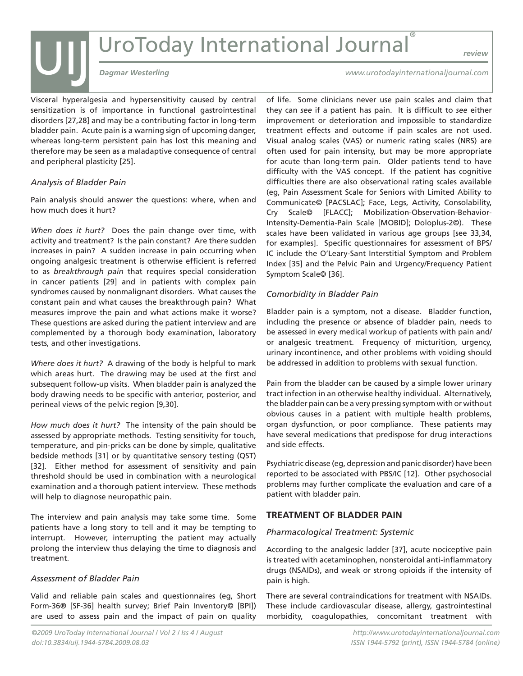# UIJ *Dagmar Westerling*<br>
Dagmar Westerling<br>
Dagmar Westerling<br>
Dagmar Westerling

*review*

Visceral hyperalgesia and hypersensitivity caused by central sensitization is of importance in functional gastrointestinal disorders [27,28] and may be a contributing factor in long-term bladder pain. Acute pain is a warning sign of upcoming danger, whereas long-term persistent pain has lost this meaning and therefore may be seen as a maladaptive consequence of central and peripheral plasticity [25].

### *Analysis of Bladder Pain*

Pain analysis should answer the questions: where, when and how much does it hurt?

*When does it hurt?* Does the pain change over time, with activity and treatment? Is the pain constant? Are there sudden increases in pain? A sudden increase in pain occurring when ongoing analgesic treatment is otherwise efficient is referred to as *breakthrough pain* that requires special consideration in cancer patients [29] and in patients with complex pain syndromes caused by nonmalignant disorders. What causes the constant pain and what causes the breakthrough pain? What measures improve the pain and what actions make it worse? These questions are asked during the patient interview and are complemented by a thorough body examination, laboratory tests, and other investigations.

*Where does it hurt?* A drawing of the body is helpful to mark which areas hurt. The drawing may be used at the first and subsequent follow-up visits. When bladder pain is analyzed the body drawing needs to be specific with anterior, posterior, and perineal views of the pelvic region [9,30].

*How much does it hurt?* The intensity of the pain should be assessed by appropriate methods. Testing sensitivity for touch, temperature, and pin-pricks can be done by simple, qualitative bedside methods [31] or by quantitative sensory testing (QST) [32]. Either method for assessment of sensitivity and pain threshold should be used in combination with a neurological examination and a thorough patient interview. These methods will help to diagnose neuropathic pain.

The interview and pain analysis may take some time. Some patients have a long story to tell and it may be tempting to interrupt. However, interrupting the patient may actually prolong the interview thus delaying the time to diagnosis and treatment.

### *Assessment of Bladder Pain*

Valid and reliable pain scales and questionnaires (eg, Short Form-36® [SF-36] health survey; Brief Pain Inventory© [BPI]) are used to assess pain and the impact of pain on quality *www.urotodayinternationaljournal.com*

of life. Some clinicians never use pain scales and claim that they can *see* if a patient has pain. It is difficult to *see* either improvement or deterioration and impossible to standardize treatment effects and outcome if pain scales are not used. Visual analog scales (VAS) or numeric rating scales (NRS) are often used for pain intensity, but may be more appropriate for acute than long-term pain. Older patients tend to have difficulty with the VAS concept. If the patient has cognitive difficulties there are also observational rating scales available (eg, Pain Assessment Scale for Seniors with Limited Ability to Communicate© [PACSLAC]; Face, Legs, Activity, Consolability, Cry Scale© [FLACC]; Mobilization-Observation-Behavior-Intensity-Dementia-Pain Scale [MOBID]; Doloplus-2©). These scales have been validated in various age groups [see 33,34, for examples]. Specific questionnaires for assessment of BPS/ IC include the O'Leary-Sant Interstitial Symptom and Problem Index [35] and the Pelvic Pain and Urgency/Frequency Patient Symptom Scale© [36].

### *Comorbidity in Bladder Pain*

Bladder pain is a symptom, not a disease. Bladder function, including the presence or absence of bladder pain, needs to be assessed in every medical workup of patients with pain and/ or analgesic treatment. Frequency of micturition, urgency, urinary incontinence, and other problems with voiding should be addressed in addition to problems with sexual function.

Pain from the bladder can be caused by a simple lower urinary tract infection in an otherwise healthy individual. Alternatively, the bladder pain can be a very pressing symptom with or without obvious causes in a patient with multiple health problems, organ dysfunction, or poor compliance. These patients may have several medications that predispose for drug interactions and side effects.

Psychiatric disease (eg, depression and panic disorder) have been reported to be associated with PBS/IC [12]. Other psychosocial problems may further complicate the evaluation and care of a patient with bladder pain.

### **TREATMENT OF BLADDER PAIN**

### *Pharmacological Treatment: Systemic*

According to the analgesic ladder [37], acute nociceptive pain is treated with acetaminophen, nonsteroidal anti-inflammatory drugs (NSAIDs), and weak or strong opioids if the intensity of pain is high.

There are several contraindications for treatment with NSAIDs. These include cardiovascular disease, allergy, gastrointestinal morbidity, coagulopathies, concomitant treatment with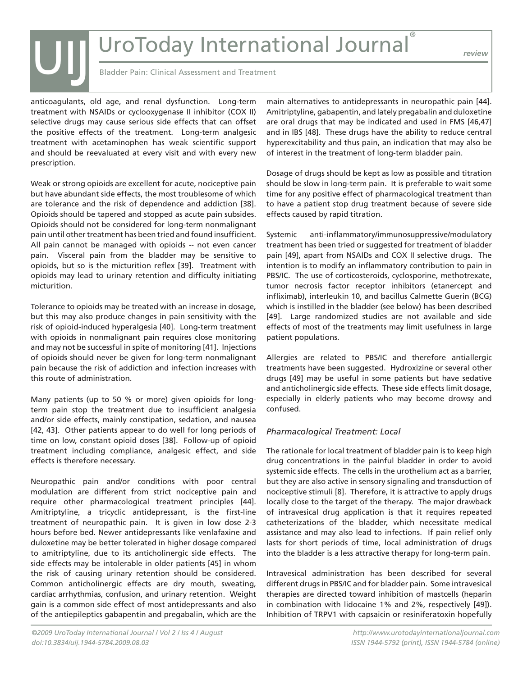*review*

Bladder Pain: Clinical Assessment and Treatment

anticoagulants, old age, and renal dysfunction. Long-term treatment with NSAIDs or cyclooxygenase II inhibitor (COX II) selective drugs may cause serious side effects that can offset the positive effects of the treatment. Long-term analgesic treatment with acetaminophen has weak scientific support and should be reevaluated at every visit and with every new prescription.

UIJ

Weak or strong opioids are excellent for acute, nociceptive pain but have abundant side effects, the most troublesome of which are tolerance and the risk of dependence and addiction [38]. Opioids should be tapered and stopped as acute pain subsides. Opioids should not be considered for long-term nonmalignant pain until other treatment has been tried and found insufficient. All pain cannot be managed with opioids -- not even cancer pain. Visceral pain from the bladder may be sensitive to opioids, but so is the micturition reflex [39]. Treatment with opioids may lead to urinary retention and difficulty initiating micturition.

Tolerance to opioids may be treated with an increase in dosage, but this may also produce changes in pain sensitivity with the risk of opioid-induced hyperalgesia [40]. Long-term treatment with opioids in nonmalignant pain requires close monitoring and may not be successful in spite of monitoring [41]. Injections of opioids should never be given for long-term nonmalignant pain because the risk of addiction and infection increases with this route of administration.

Many patients (up to 50 % or more) given opioids for longterm pain stop the treatment due to insufficient analgesia and/or side effects, mainly constipation, sedation, and nausea [42, 43]. Other patients appear to do well for long periods of time on low, constant opioid doses [38]. Follow-up of opioid treatment including compliance, analgesic effect, and side effects is therefore necessary.

Neuropathic pain and/or conditions with poor central modulation are different from strict nociceptive pain and require other pharmacological treatment principles [44]. Amitriptyline, a tricyclic antidepressant, is the first-line treatment of neuropathic pain. It is given in low dose 2-3 hours before bed. Newer antidepressants like venlafaxine and duloxetine may be better tolerated in higher dosage compared to amitriptyline, due to its anticholinergic side effects. The side effects may be intolerable in older patients [45] in whom the risk of causing urinary retention should be considered. Common anticholinergic effects are dry mouth, sweating, cardiac arrhythmias, confusion, and urinary retention. Weight gain is a common side effect of most antidepressants and also of the antiepileptics gabapentin and pregabalin, which are the

main alternatives to antidepressants in neuropathic pain [44]. Amitriptyline, gabapentin, and lately pregabalin and duloxetine are oral drugs that may be indicated and used in FMS [46,47] and in IBS [48]. These drugs have the ability to reduce central hyperexcitability and thus pain, an indication that may also be of interest in the treatment of long-term bladder pain.

Dosage of drugs should be kept as low as possible and titration should be slow in long-term pain. It is preferable to wait some time for any positive effect of pharmacological treatment than to have a patient stop drug treatment because of severe side effects caused by rapid titration.

Systemic anti-inflammatory/immunosuppressive/modulatory treatment has been tried or suggested for treatment of bladder pain [49], apart from NSAIDs and COX II selective drugs. The intention is to modify an inflammatory contribution to pain in PBS/IC. The use of corticosteroids, cyclosporine, methotrexate, tumor necrosis factor receptor inhibitors (etanercept and infliximab), interleukin 10, and bacillus Calmette Guerin (BCG) which is instilled in the bladder (see below) has been described [49]. Large randomized studies are not available and side effects of most of the treatments may limit usefulness in large patient populations.

Allergies are related to PBS/IC and therefore antiallergic treatments have been suggested. Hydroxizine or several other drugs [49] may be useful in some patients but have sedative and anticholinergic side effects. These side effects limit dosage, especially in elderly patients who may become drowsy and confused.

### *Pharmacological Treatment: Local*

The rationale for local treatment of bladder pain is to keep high drug concentrations in the painful bladder in order to avoid systemic side effects. The cells in the urothelium act as a barrier, but they are also active in sensory signaling and transduction of nociceptive stimuli [8]. Therefore, it is attractive to apply drugs locally close to the target of the therapy. The major drawback of intravesical drug application is that it requires repeated catheterizations of the bladder, which necessitate medical assistance and may also lead to infections. If pain relief only lasts for short periods of time, local administration of drugs into the bladder is a less attractive therapy for long-term pain.

Intravesical administration has been described for several different drugs in PBS/IC and for bladder pain. Some intravesical therapies are directed toward inhibition of mastcells (heparin in combination with lidocaine 1% and 2%, respectively [49]). Inhibition of TRPV1 with capsaicin or resiniferatoxin hopefully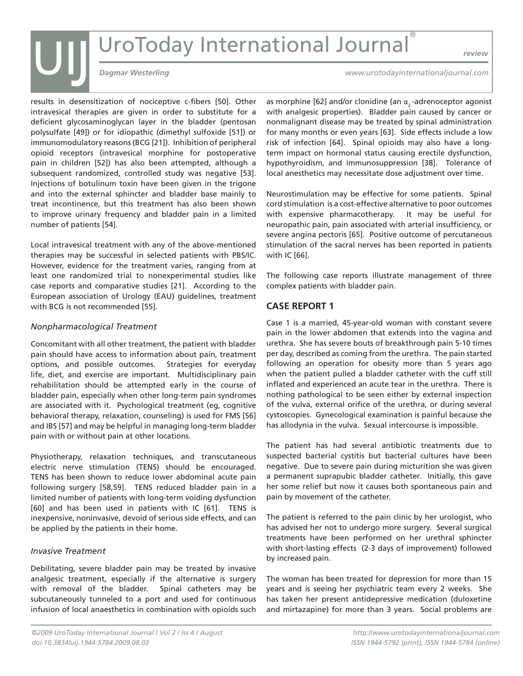# UIJ *Dagmar Westerling*<br>
Dagmar Westerling<br>
Dagmar Westerling<br>
Dagmar Westerling

*review*

results in desensitization of nociceptive c-fibers [50]. Other intravesical therapies are given in order to substitute for a deficient glycosaminoglycan layer in the bladder (pentosan polysulfate [49]) or for idiopathic (dimethyl sulfoxide [51]) or immunomodulatory reasons (BCG [21]). Inhibition of peripheral opioid receptors (intravesical morphine for postoperative pain in children [52]) has also been attempted, although a subsequent randomized, controlled study was negative [53]. Injections of botulinum toxin have been given in the trigone and into the external sphincter and bladder base mainly to treat incontinence, but this treatment has also been shown to improve urinary frequency and bladder pain in a limited number of patients [54].

Local intravesical treatment with any of the above-mentioned therapies may be successful in selected patients with PBS/IC. However, evidence for the treatment varies, ranging from at least one randomized trial to nonexperimental studies like case reports and comparative studies [21]. According to the European association of Urology (EAU) guidelines, treatment with BCG is not recommended [55].

### *Nonpharmacological Treatment*

Concomitant with all other treatment, the patient with bladder pain should have access to information about pain, treatment options, and possible outcomes. Strategies for everyday life, diet, and exercise are important. Multidisciplinary pain rehabilitation should be attempted early in the course of bladder pain, especially when other long-term pain syndromes are associated with it. Psychological treatment (eg, cognitive behavioral therapy, relaxation, counseling) is used for FMS [56] and IBS [57] and may be helpful in managing long-term bladder pain with or without pain at other locations.

Physiotherapy, relaxation techniques, and transcutaneous electric nerve stimulation (TENS) should be encouraged. TENS has been shown to reduce lower abdominal acute pain following surgery [58,59]. TENS reduced bladder pain in a limited number of patients with long-term voiding dysfunction [60] and has been used in patients with IC [61]. TENS is inexpensive, noninvasive, devoid of serious side effects, and can be applied by the patients in their home.

### *Invasive Treatment*

Debilitating, severe bladder pain may be treated by invasive analgesic treatment, especially if the alternative is surgery with removal of the bladder. Spinal catheters may be subcutaneously tunneled to a port and used for continuous infusion of local anaesthetics in combination with opioids such

*www.urotodayinternationaljournal.com*

as morphine [62] and/or clonidine (an  $\alpha$ <sub>2</sub>-adrenoceptor agonist with analgesic properties). Bladder pain caused by cancer or nonmalignant disease may be treated by spinal administration for many months or even years [63]. Side effects include a low risk of infection [64]. Spinal opioids may also have a longterm impact on hormonal status causing erectile dysfunction, hypothyroidism, and immunosuppression [38]. Tolerance of local anesthetics may necessitate dose adjustment over time.

Neurostimulation may be effective for some patients. Spinal cord stimulation is a cost-effective alternative to poor outcomes with expensive pharmacotherapy. It may be useful for neuropathic pain, pain associated with arterial insufficiency, or severe angina pectoris [65]. Positive outcome of percutaneous stimulation of the sacral nerves has been reported in patients with IC [66].

The following case reports illustrate management of three complex patients with bladder pain.

### **CASE REPORT 1**

Case 1 is a married, 45-year-old woman with constant severe pain in the lower abdomen that extends into the vagina and urethra. She has severe bouts of breakthrough pain 5-10 times per day, described as coming from the urethra. The pain started following an operation for obesity more than 5 years ago when the patient pulled a bladder catheter with the cuff still inflated and experienced an acute tear in the urethra. There is nothing pathological to be seen either by external inspection of the vulva, external orifice of the urethra, or during several cystoscopies. Gynecological examination is painful because she has allodynia in the vulva. Sexual intercourse is impossible.

The patient has had several antibiotic treatments due to suspected bacterial cystitis but bacterial cultures have been negative. Due to severe pain during micturition she was given a permanent suprapubic bladder catheter. Initially, this gave her some relief but now it causes both spontaneous pain and pain by movement of the catheter.

The patient is referred to the pain clinic by her urologist, who has advised her not to undergo more surgery. Several surgical treatments have been performed on her urethral sphincter with short-lasting effects (2-3 days of improvement) followed by increased pain.

The woman has been treated for depression for more than 15 years and is seeing her psychiatric team every 2 weeks. She has taken her present antidepressive medication (duloxetine and mirtazapine) for more than 3 years. Social problems are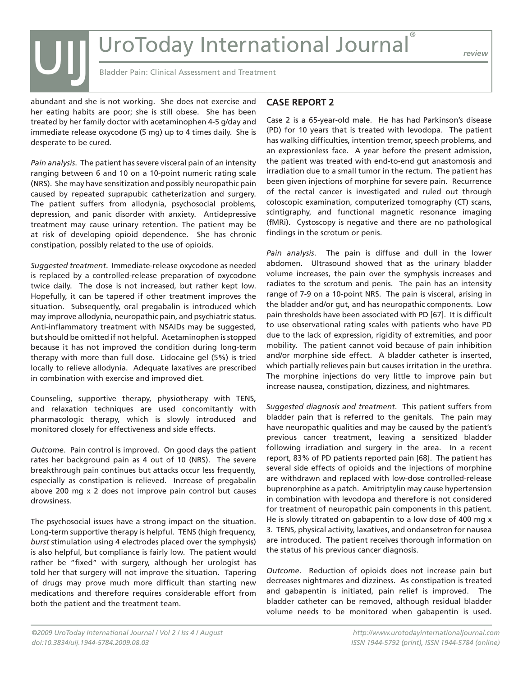*review*

Bladder Pain: Clinical Assessment and Treatment

abundant and she is not working. She does not exercise and her eating habits are poor; she is still obese. She has been treated by her family doctor with acetaminophen 4-5 g/day and immediate release oxycodone (5 mg) up to 4 times daily. She is desperate to be cured.

UIJ

*Pain analysis*. The patient has severe visceral pain of an intensity ranging between 6 and 10 on a 10-point numeric rating scale (NRS). She may have sensitization and possibly neuropathic pain caused by repeated suprapubic catheterization and surgery. The patient suffers from allodynia, psychosocial problems, depression, and panic disorder with anxiety. Antidepressive treatment may cause urinary retention. The patient may be at risk of developing opioid dependence. She has chronic constipation, possibly related to the use of opioids.

*Suggested treatment*. Immediate-release oxycodone as needed is replaced by a controlled-release preparation of oxycodone twice daily. The dose is not increased, but rather kept low. Hopefully, it can be tapered if other treatment improves the situation. Subsequently, oral pregabalin is introduced which may improve allodynia, neuropathic pain, and psychiatric status. Anti-inflammatory treatment with NSAIDs may be suggested, but should be omitted if not helpful. Acetaminophen is stopped because it has not improved the condition during long-term therapy with more than full dose. Lidocaine gel (5%) is tried locally to relieve allodynia. Adequate laxatives are prescribed in combination with exercise and improved diet.

Counseling, supportive therapy, physiotherapy with TENS, and relaxation techniques are used concomitantly with pharmacologic therapy, which is slowly introduced and monitored closely for effectiveness and side effects.

*Outcome*. Pain control is improved. On good days the patient rates her background pain as 4 out of 10 (NRS). The severe breakthrough pain continues but attacks occur less frequently, especially as constipation is relieved. Increase of pregabalin above 200 mg x 2 does not improve pain control but causes drowsiness.

The psychosocial issues have a strong impact on the situation. Long-term supportive therapy is helpful. TENS (high frequency, *burst* stimulation using 4 electrodes placed over the symphysis) is also helpful, but compliance is fairly low. The patient would rather be "fixed" with surgery, although her urologist has told her that surgery will not improve the situation. Tapering of drugs may prove much more difficult than starting new medications and therefore requires considerable effort from both the patient and the treatment team.

### **CASE REPORT 2**

Case 2 is a 65-year-old male. He has had Parkinson's disease (PD) for 10 years that is treated with levodopa. The patient has walking difficulties, intention tremor, speech problems, and an expressionless face. A year before the present admission, the patient was treated with end-to-end gut anastomosis and irradiation due to a small tumor in the rectum. The patient has been given injections of morphine for severe pain. Recurrence of the rectal cancer is investigated and ruled out through coloscopic examination, computerized tomography (CT) scans, scintigraphy, and functional magnetic resonance imaging (fMRi). Cystoscopy is negative and there are no pathological findings in the scrotum or penis.

*Pain analysis*. The pain is diffuse and dull in the lower abdomen. Ultrasound showed that as the urinary bladder volume increases, the pain over the symphysis increases and radiates to the scrotum and penis. The pain has an intensity range of 7-9 on a 10-point NRS. The pain is visceral, arising in the bladder and/or gut, and has neuropathic components. Low pain thresholds have been associated with PD [67]. It is difficult to use observational rating scales with patients who have PD due to the lack of expression, rigidity of extremities, and poor mobility. The patient cannot void because of pain inhibition and/or morphine side effect. A bladder catheter is inserted, which partially relieves pain but causes irritation in the urethra. The morphine injections do very little to improve pain but increase nausea, constipation, dizziness, and nightmares.

*Suggested diagnosis and treatment*. This patient suffers from bladder pain that is referred to the genitals. The pain may have neuropathic qualities and may be caused by the patient's previous cancer treatment, leaving a sensitized bladder following irradiation and surgery in the area. In a recent report, 83% of PD patients reported pain [68]. The patient has several side effects of opioids and the injections of morphine are withdrawn and replaced with low-dose controlled-release buprenorphine as a patch. Amitriptylin may cause hypertension in combination with levodopa and therefore is not considered for treatment of neuropathic pain components in this patient. He is slowly titrated on gabapentin to a low dose of 400 mg x 3. TENS, physical activity, laxatives, and ondansetron for nausea are introduced. The patient receives thorough information on the status of his previous cancer diagnosis.

*Outcome*. Reduction of opioids does not increase pain but decreases nightmares and dizziness. As constipation is treated and gabapentin is initiated, pain relief is improved. The bladder catheter can be removed, although residual bladder volume needs to be monitored when gabapentin is used.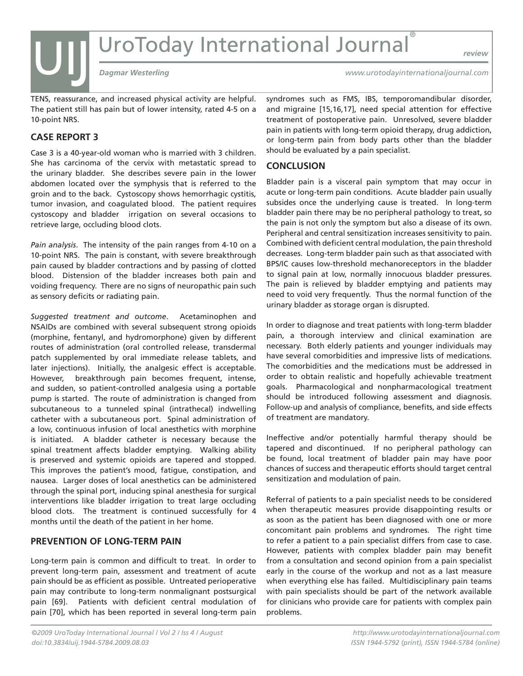UIJ *Dagmar Westerling*<br>
Dagmar Westerling<br>
Dagmar Westerling<br>
UIJ *Dagmar Westerling* 

*review*

*www.urotodayinternationaljournal.com*

TENS, reassurance, and increased physical activity are helpful. The patient still has pain but of lower intensity, rated 4-5 on a 10-point NRS.

### **CASE REPORT 3**

Case 3 is a 40-year-old woman who is married with 3 children. She has carcinoma of the cervix with metastatic spread to the urinary bladder. She describes severe pain in the lower abdomen located over the symphysis that is referred to the groin and to the back. Cystoscopy shows hemorrhagic cystitis, tumor invasion, and coagulated blood. The patient requires cystoscopy and bladder irrigation on several occasions to retrieve large, occluding blood clots.

*Pain analysis*. The intensity of the pain ranges from 4-10 on a 10-point NRS. The pain is constant, with severe breakthrough pain caused by bladder contractions and by passing of clotted blood. Distension of the bladder increases both pain and voiding frequency. There are no signs of neuropathic pain such as sensory deficits or radiating pain.

*Suggested treatment and outcome*. Acetaminophen and NSAIDs are combined with several subsequent strong opioids (morphine, fentanyl, and hydromorphone) given by different routes of administration (oral controlled release, transdermal patch supplemented by oral immediate release tablets, and later injections). Initially, the analgesic effect is acceptable. However, breakthrough pain becomes frequent, intense, and sudden, so patient-controlled analgesia using a portable pump is started. The route of administration is changed from subcutaneous to a tunneled spinal (intrathecal) indwelling catheter with a subcutaneous port. Spinal administration of a low, continuous infusion of local anesthetics with morphine is initiated. A bladder catheter is necessary because the spinal treatment affects bladder emptying. Walking ability is preserved and systemic opioids are tapered and stopped. This improves the patient's mood, fatigue, constipation, and nausea. Larger doses of local anesthetics can be administered through the spinal port, inducing spinal anesthesia for surgical interventions like bladder irrigation to treat large occluding blood clots. The treatment is continued successfully for 4 months until the death of the patient in her home.

### **PREVENTION OF LONG-TERM PAIN**

Long-term pain is common and difficult to treat. In order to prevent long-term pain, assessment and treatment of acute pain should be as efficient as possible. Untreated perioperative pain may contribute to long-term nonmalignant postsurgical pain [69]. Patients with deficient central modulation of pain [70], which has been reported in several long-term pain

syndromes such as FMS, IBS, temporomandibular disorder, and migraine [15,16,17], need special attention for effective treatment of postoperative pain. Unresolved, severe bladder pain in patients with long-term opioid therapy, drug addiction, or long-term pain from body parts other than the bladder should be evaluated by a pain specialist.

### **CONCLUSION**

Bladder pain is a visceral pain symptom that may occur in acute or long-term pain conditions. Acute bladder pain usually subsides once the underlying cause is treated. In long-term bladder pain there may be no peripheral pathology to treat, so the pain is not only the symptom but also a disease of its own. Peripheral and central sensitization increases sensitivity to pain. Combined with deficient central modulation, the pain threshold decreases. Long-term bladder pain such as that associated with BPS/IC causes low-threshold mechanoreceptors in the bladder to signal pain at low, normally innocuous bladder pressures. The pain is relieved by bladder emptying and patients may need to void very frequently. Thus the normal function of the urinary bladder as storage organ is disrupted.

In order to diagnose and treat patients with long-term bladder pain, a thorough interview and clinical examination are necessary. Both elderly patients and younger individuals may have several comorbidities and impressive lists of medications. The comorbidities and the medications must be addressed in order to obtain realistic and hopefully achievable treatment goals. Pharmacological and nonpharmacological treatment should be introduced following assessment and diagnosis. Follow-up and analysis of compliance, benefits, and side effects of treatment are mandatory.

Ineffective and/or potentially harmful therapy should be tapered and discontinued. If no peripheral pathology can be found, local treatment of bladder pain may have poor chances of success and therapeutic efforts should target central sensitization and modulation of pain.

Referral of patients to a pain specialist needs to be considered when therapeutic measures provide disappointing results or as soon as the patient has been diagnosed with one or more concomitant pain problems and syndromes. The right time to refer a patient to a pain specialist differs from case to case. However, patients with complex bladder pain may benefit from a consultation and second opinion from a pain specialist early in the course of the workup and not as a last measure when everything else has failed. Multidisciplinary pain teams with pain specialists should be part of the network available for clinicians who provide care for patients with complex pain problems.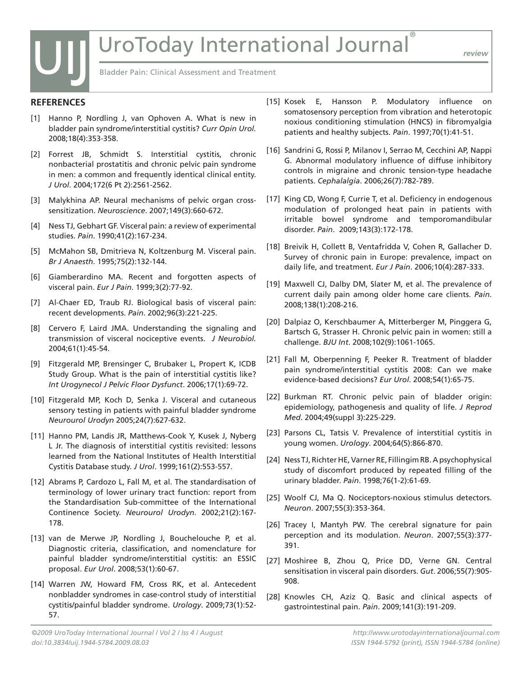Bladder Pain: Clinical Assessment and Treatment

### **REFERENCES**

UIJ

- [1] Hanno P, Nordling J, van Ophoven A. What is new in bladder pain syndrome/interstitial cystitis? *Curr Opin Urol.*  2008;18(4):353-358.
- [2] Forrest JB, Schmidt S. Interstitial cystitis, chronic nonbacterial prostatitis and chronic pelvic pain syndrome in men: a common and frequently identical clinical entity. *J Urol*. 2004;172(6 Pt 2):2561-2562.
- [3] Malykhina AP. Neural mechanisms of pelvic organ crosssensitization. *Neuroscience*. 2007;149(3):660-672.
- [4] Ness TJ, Gebhart GF. Visceral pain: a review of experimental studies. *Pain*. 1990;41(2):167-234.
- [5] McMahon SB, Dmitrieva N, Koltzenburg M. Visceral pain. *Br J Anaesth*. 1995;75(2):132-144.
- [6] Giamberardino MA. Recent and forgotten aspects of visceral pain. *Eur J Pain*. 1999;3(2):77-92.
- [7] Al-Chaer ED, Traub RJ. Biological basis of visceral pain: recent developments. *Pain*. 2002;96(3):221-225.
- [8] Cervero F, Laird JMA. Understanding the signaling and transmission of visceral nociceptive events. *J Neurobiol.*  2004;61(1):45-54.
- [9] Fitzgerald MP, Brensinger C, Brubaker L, Propert K, ICDB Study Group. What is the pain of interstitial cystitis like? *Int Urogynecol J Pelvic Floor Dysfunct*. 2006;17(1):69-72.
- [10] Fitzgerald MP, Koch D, Senka J. Visceral and cutaneous sensory testing in patients with painful bladder syndrome *Neurourol Urodyn* 2005;24(7):627-632.
- [11] Hanno PM, Landis JR, Matthews-Cook Y, Kusek J, Nyberg L Jr. The diagnosis of interstitial cystitis revisited: lessons learned from the National Institutes of Health Interstitial Cystitis Database study. *J Urol*. 1999;161(2):553-557.
- [12] Abrams P, Cardozo L, Fall M, et al. The standardisation of terminology of lower urinary tract function: report from the Standardisation Sub-committee of the International Continence Society. *Neurourol Urodyn*. 2002;21(2):167- 178.
- [13] van de Merwe JP, Nordling J, Bouchelouche P, et al. Diagnostic criteria, classification, and nomenclature for painful bladder syndrome/interstitial cystitis: an ESSIC proposal. *Eur Urol*. 2008;53(1):60-67.
- [14] Warren JW, Howard FM, Cross RK, et al. Antecedent nonbladder syndromes in case-control study of interstitial cystitis/painful bladder syndrome. *Urology*. 2009;73(1):52- 57.
- [15] Kosek E, Hansson P. Modulatory influence on somatosensory perception from vibration and heterotopic noxious conditioning stimulation (HNCS) in fibromyalgia patients and healthy subjects. *Pain*. 1997;70(1):41-51.
- [16] Sandrini G, Rossi P, Milanov I, Serrao M, Cecchini AP, Nappi G. Abnormal modulatory influence of diffuse inhibitory controls in migraine and chronic tension-type headache patients. *Cephalalgia*. 2006;26(7):782-789.
- [17] King CD, Wong F, Currie T, et al. Deficiency in endogenous modulation of prolonged heat pain in patients with irritable bowel syndrome and temporomandibular disorder. *Pain*. 2009;143(3):172-178.
- [18] Breivik H, Collett B, Ventafridda V, Cohen R, Gallacher D. Survey of chronic pain in Europe: prevalence, impact on daily life, and treatment. *Eur J Pain*. 2006;10(4):287-333.
- [19] Maxwell CJ, Dalby DM, Slater M, et al. The prevalence of current daily pain among older home care clients. *Pain*. 2008;138(1):208-216.
- [20] Dalpiaz O, Kerschbaumer A, Mitterberger M, Pinggera G, Bartsch G, Strasser H. Chronic pelvic pain in women: still a challenge. *BJU Int*. 2008;102(9):1061-1065.
- [21] Fall M, Oberpenning F, Peeker R. Treatment of bladder pain syndrome/interstitial cystitis 2008: Can we make evidence-based decisions? *Eur Urol*. 2008;54(1):65-75.
- [22] Burkman RT. Chronic pelvic pain of bladder origin: epidemiology, pathogenesis and quality of life. *J Reprod Med*. 2004;49(suppl 3):225-229.
- [23] Parsons CL, Tatsis V. Prevalence of interstitial cystitis in young women. *Urology*. 2004;64(5):866-870.
- [24] Ness TJ, Richter HE, Varner RE, Fillingim RB. A psychophysical study of discomfort produced by repeated filling of the urinary bladder. *Pain*. 1998;76(1-2):61-69.
- [25] Woolf CJ, Ma Q. Nociceptors-noxious stimulus detectors. *Neuron*. 2007;55(3):353-364.
- [26] Tracey I, Mantyh PW. The cerebral signature for pain perception and its modulation. *Neuron*. 2007;55(3):377- 391.
- [27] Moshiree B, Zhou Q, Price DD, Verne GN. Central sensitisation in visceral pain disorders. *Gut*. 2006;55(7):905- 908.
- [28] Knowles CH, Aziz Q. Basic and clinical aspects of gastrointestinal pain. *Pain*. 2009;141(3):191-209.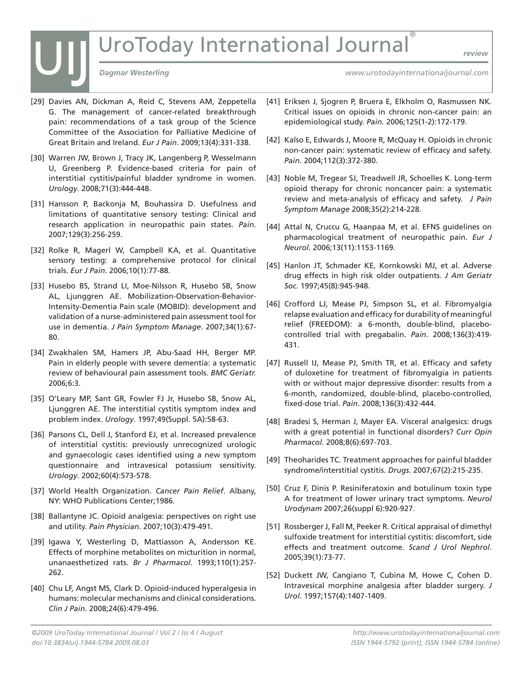# UIJ *Dagmar Westerling*<br>
Dagmar Westerling<br>
Dagmar Westerling<br>
Dagmar Westerling

*review*

- [29] Davies AN, Dickman A, Reid C, Stevens AM, Zeppetella G. The management of cancer-related breakthrough pain: recommendations of a task group of the Science Committee of the Association for Palliative Medicine of Great Britain and Ireland. *Eur J Pain*. 2009;13(4):331-338.
- [30] Warren JW, Brown J, Tracy JK, Langenberg P, Wesselmann U, Greenberg P. Evidence-based criteria for pain of interstitial cystitis/painful bladder syndrome in women. *Urology*. 2008;71(3):444-448.
- [31] Hansson P, Backonja M, Bouhassira D. Usefulness and limitations of quantitative sensory testing: Clinical and research application in neuropathic pain states. *Pain*. 2007;129(3):256-259.
- [32] Rolke R, Magerl W, Campbell KA, et al. Quantitative sensory testing: a comprehensive protocol for clinical trials. *Eur J Pain*. 2006;10(1):77-88.
- [33] Husebo BS, Strand LI, Moe-Nilsson R, Husebo SB, Snow AL, Ljunggren AE. Mobilization-Observation-Behavior-Intensity-Dementia Pain scale (MOBID): development and validation of a nurse-administered pain assessment tool for use in dementia. *J Pain Symptom Manage*. 2007;34(1):67- 80.
- [34] Zwakhalen SM, Hamers JP, Abu-Saad HH, Berger MP. Pain in elderly people with severe dementia: a systematic review of behavioural pain assessment tools. *BMC Geriatr.*  2006;6:3.
- [35] O'Leary MP, Sant GR, Fowler FJ Jr, Husebo SB, Snow AL, Ljunggren AE. The interstitial cystitis symptom index and problem index. *Urology*. 1997;49(Suppl. 5A):58-63.
- [36] Parsons CL, Dell J, Stanford EJ, et al. Increased prevalence of interstitial cystitis: previously unrecognized urologic and gynaecologic cases identified using a new symptom questionnaire and intravesical potassium sensitivity. *Urology*. 2002;60(4):573-578.
- [37] World Health Organization. *Cancer Pain Relief*. Albany, NY: WHO Publications Center;1986.
- [38] Ballantyne JC. Opioid analgesia: perspectives on right use and utility. *Pain Physician*. 2007;10(3):479-491.
- [39] Igawa Y, Westerling D, Mattiasson A, Andersson KE. Effects of morphine metabolites on micturition in normal, unanaesthetized rats. *Br J Pharmacol*. 1993;110(1):257- 262.
- [40] Chu LF, Angst MS, Clark D. Opioid-induced hyperalgesia in humans: molecular mechanisms and clinical considerations. *Clin J Pain*. 2008;24(6):479-496.
- *www.urotodayinternationaljournal.com*
- [41] Eriksen J, Sjogren P, Bruera E, Elkholm O, Rasmussen NK. Critical issues on opioids in chronic non-cancer pain: an epidemiological study. *Pain.* 2006;125(1-2):172-179.
- [42] Kalso E, Edwards J, Moore R, McQuay H. Opioids in chronic non-cancer pain: systematic review of efficacy and safety. *Pain*. 2004;112(3):372-380.
- [43] Noble M, Tregear SJ, Treadwell JR, Schoelles K. Long-term opioid therapy for chronic noncancer pain: a systematic review and meta-analysis of efficacy and safety. *J Pain Symptom Manage* 2008;35(2):214-228.
- [44] Attal N, Cruccu G, Haanpaa M, et al. EFNS guidelines on pharmacological treatment of neuropathic pain. *Eur J Neurol*. 2006;13(11):1153-1169.
- [45] Hanlon JT, Schmader KE, Kornkowski MJ, et al. Adverse drug effects in high risk older outpatients. *J Am Geriatr Soc.* 1997;45(8):945-948.
- [46] Crofford LJ, Mease PJ, Simpson SL, et al. Fibromyalgia relapse evaluation and efficacy for durability of meaningful relief (FREEDOM): a 6-month, double-blind, placebocontrolled trial with pregabalin. *Pain*. 2008;136(3):419- 431.
- [47] Russell IJ, Mease PJ, Smith TR, et al. Efficacy and safety of duloxetine for treatment of fibromyalgia in patients with or without major depressive disorder: results from a 6-month, randomized, double-blind, placebo-controlled, fixed-dose trial. *Pain*. 2008;136(3):432-444.
- [48] Bradesi S, Herman J, Mayer EA. Visceral analgesics: drugs with a great potential in functional disorders? *Curr Opin Pharmacol*. 2008;8(6):697-703.
- [49] Theoharides TC. Treatment approaches for painful bladder syndrome/interstitial cystitis. *Drugs*. 2007;67(2):215-235.
- [50] Cruz F, Dinis P. Resiniferatoxin and botulinum toxin type A for treatment of lower urinary tract symptoms. *Neurol Urodynam* 2007;26(suppl 6):920-927.
- [51] Rossberger J, Fall M, Peeker R. Critical appraisal of dimethyl sulfoxide treatment for interstitial cystitis: discomfort, side effects and treatment outcome. *Scand J Urol Nephrol*. 2005;39(1):73-77.
- [52] Duckett JW, Cangiano T, Cubina M, Howe C, Cohen D. Intravesical morphine analgesia after bladder surgery. *J Urol*. 1997;157(4):1407-1409.